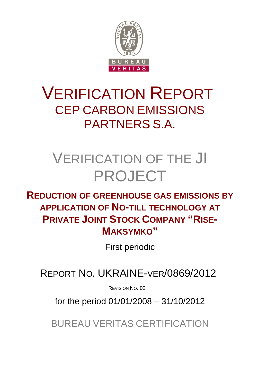

# VERIFICATION REPORT CEP CARBON EMISSIONS PARTNERS S.A.

# VERIFICATION OF THE JI PROJECT

**REDUCTION OF GREENHOUSE GAS EMISSIONS BY APPLICATION OF NO-TILL TECHNOLOGY AT PRIVATE JOINT STOCK COMPANY "RISE-MAKSYMKO"**

First periodic

REPORT NO. UKRAINE-VER/0869/2012

REVISION NO. 02

for the period 01/01/2008 – 31/10/2012

BUREAU VERITAS CERTIFICATION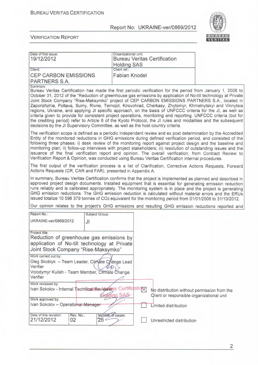

| Date of first issue:<br>19/12/2012                                                                                                                | Organizational unit:<br><b>Bureau Veritas Certification</b>                                                                                                                                                                                                                                                                                                                                                                                                                                                                                                                                                                                                                                                                                                                                     |
|---------------------------------------------------------------------------------------------------------------------------------------------------|-------------------------------------------------------------------------------------------------------------------------------------------------------------------------------------------------------------------------------------------------------------------------------------------------------------------------------------------------------------------------------------------------------------------------------------------------------------------------------------------------------------------------------------------------------------------------------------------------------------------------------------------------------------------------------------------------------------------------------------------------------------------------------------------------|
| Client:                                                                                                                                           | <b>Holding SAS</b><br>Client ref.:                                                                                                                                                                                                                                                                                                                                                                                                                                                                                                                                                                                                                                                                                                                                                              |
| <b>CEP CARBON EMISSIONS</b>                                                                                                                       | Fabian Knodel                                                                                                                                                                                                                                                                                                                                                                                                                                                                                                                                                                                                                                                                                                                                                                                   |
| PARTNERS S.A.                                                                                                                                     |                                                                                                                                                                                                                                                                                                                                                                                                                                                                                                                                                                                                                                                                                                                                                                                                 |
| Summary:<br>decisions by the JI Supervisory Committee, as well as the host country criteria.                                                      | Bureau Veritas Certification has made the first periodic verification for the period from January 1, 2008 to<br>October 31, 2012 of the "Reduction of greenhouse gas emissions by application of No-till technology at Private<br>Joint Stock Company "Rise-Maksymko" project of CEP CARBON EMISSIONS PARTNERS S.A., located in<br>Zaporizhzhia, Poltava, Sumy, Rivne, Ternopil, Kirovohrad, Cherkasy, Zhytomyr, Khmelnytskyi and Vinnytsia<br>regions, Ukraine, and applying JI specific approach, on the basis of UNFCCC criteria for the JI, as well as<br>criteria given to provide for consistent project operations, monitoring and reporting. UNFCCC criteria (but for<br>the crediting period) refer to Article 6 of the Kyoto Protocol, the JI rules and modalities and the subsequent |
|                                                                                                                                                   | The verification scope is defined as a periodic independent review and ex post determination by the Accredited<br>Entity of the monitored reductions in GHG emissions during defined verification period, and consisted of the<br>following three phases: i) desk review of the monitoring report against project design and the baseline and<br>monitoring plan; ii) follow-up interviews with project stakeholders; iii) resolution of outstanding issues and the<br>issuance of the final verification report and opinion. The overall verification, from Contract Review to<br>Verification Report & Opinion, was conducted using Bureau Veritas Certification internal procedures.                                                                                                         |
| Actions Requests (CR, CAR and FAR), presented in Appendix A.                                                                                      | The first output of the verification process is a list of Clarification, Corrective Actions Requests, Forward                                                                                                                                                                                                                                                                                                                                                                                                                                                                                                                                                                                                                                                                                   |
|                                                                                                                                                   | In summary, Bureau Veritas Certification confirms that the project is implemented as planned and described in<br>approved project design documents. Installed equipment that is essential for generating emission reduction<br>runs reliably and is calibrated appropriately. The monitoring system is in place and the project is generating<br>GHG emission reductions. The GHG emission reduction is calculated without material errors and the ERUs<br>issued totalize 10 596 379 tonnes of CO2 equivalent for the monitoring period from 01/01/2008 to 31/10/2012.                                                                                                                                                                                                                         |
|                                                                                                                                                   | Our opinion relates to the project's GHG emissions and resulting GHG emission reductions reported and                                                                                                                                                                                                                                                                                                                                                                                                                                                                                                                                                                                                                                                                                           |
| Report No.:<br>Subject Group:                                                                                                                     |                                                                                                                                                                                                                                                                                                                                                                                                                                                                                                                                                                                                                                                                                                                                                                                                 |
| UKRAINE-ver/0869/2012<br>JI                                                                                                                       |                                                                                                                                                                                                                                                                                                                                                                                                                                                                                                                                                                                                                                                                                                                                                                                                 |
|                                                                                                                                                   |                                                                                                                                                                                                                                                                                                                                                                                                                                                                                                                                                                                                                                                                                                                                                                                                 |
| Project title:<br>Reduction of greenhouse gas emissions by<br>application of No-till technology at Private<br>Joint Stock Company "Rise-Maksymko" |                                                                                                                                                                                                                                                                                                                                                                                                                                                                                                                                                                                                                                                                                                                                                                                                 |
| Work carried out by:<br>Oleg Skoblyk - Team Leader, Climate Change Lead<br>Verifier                                                               |                                                                                                                                                                                                                                                                                                                                                                                                                                                                                                                                                                                                                                                                                                                                                                                                 |
| Volodymyr Kulish - Team Member, Climate Change<br>Verifier                                                                                        |                                                                                                                                                                                                                                                                                                                                                                                                                                                                                                                                                                                                                                                                                                                                                                                                 |
| Work reviewed by:                                                                                                                                 |                                                                                                                                                                                                                                                                                                                                                                                                                                                                                                                                                                                                                                                                                                                                                                                                 |
| Ivan Sokolov - Internal TechnicaeRevieweras Certification                                                                                         | No distribution without permission from the<br>lding SAS<br>Client or responsible organizational unit                                                                                                                                                                                                                                                                                                                                                                                                                                                                                                                                                                                                                                                                                           |
| Work approved by:                                                                                                                                 |                                                                                                                                                                                                                                                                                                                                                                                                                                                                                                                                                                                                                                                                                                                                                                                                 |
| Ivan Sokolov - Operational Manager                                                                                                                | Limited distribution                                                                                                                                                                                                                                                                                                                                                                                                                                                                                                                                                                                                                                                                                                                                                                            |
| Date of this revision:<br>Rev. No.:                                                                                                               | Number of pages:                                                                                                                                                                                                                                                                                                                                                                                                                                                                                                                                                                                                                                                                                                                                                                                |
| 21/12/2012<br>02<br>26 <sup>2</sup>                                                                                                               | Unrestricted distribution                                                                                                                                                                                                                                                                                                                                                                                                                                                                                                                                                                                                                                                                                                                                                                       |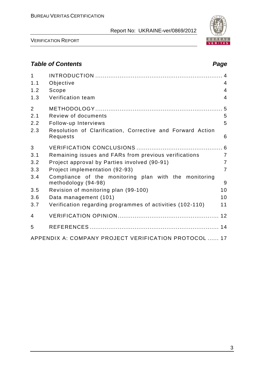

VERIFICATION REPORT

# *Table of Contents Page*

| $\mathbf{1}$<br>1.1 | Objective                                                                    | 4              |
|---------------------|------------------------------------------------------------------------------|----------------|
| 1.2                 | Scope                                                                        | $\overline{4}$ |
| 1.3                 | Verification team                                                            | $\overline{4}$ |
| $\overline{2}$      |                                                                              |                |
| 2.1                 | Review of documents                                                          | 5              |
| 2.2                 | Follow-up Interviews                                                         | 5              |
| 2.3                 | Resolution of Clarification, Corrective and Forward Action<br>Requests       | 6              |
| 3                   |                                                                              |                |
| 3.1                 | Remaining issues and FARs from previous verifications                        | $\overline{7}$ |
| 3.2                 | Project approval by Parties involved (90-91)                                 | $\overline{7}$ |
| 3.3                 | Project implementation (92-93)                                               | $\overline{7}$ |
| 3.4                 | Compliance of the monitoring plan with the monitoring<br>methodology (94-98) | 9              |
| 3.5                 | Revision of monitoring plan (99-100)                                         | 10             |
| 3.6                 | Data management (101)                                                        | 10             |
| 3.7                 | Verification regarding programmes of activities (102-110)                    | 11             |
| $\overline{4}$      |                                                                              |                |
| 5                   |                                                                              |                |
|                     | APPENDIX A: COMPANY PROJECT VERIFICATION PROTOCOL  17                        |                |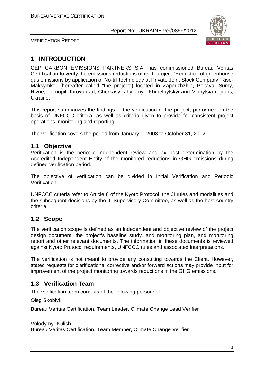

VERIFICATION REPORT

# **1 INTRODUCTION**

CEP CARBON EMISSIONS PARTNERS S.A. has commissioned Bureau Veritas Certification to verify the emissions reductions of its JI project "Reduction of greenhouse gas emissions by application of No-till technology at Private Joint Stock Company "Rise-Maksymko" (hereafter called "the project") located in Zaporizhzhia, Poltava, Sumy, Rivne, Ternopil, Kirovohrad, Cherkasy, Zhytomyr, Khmelnytskyi and Vinnytsia regions, Ukraine.

This report summarizes the findings of the verification of the project, performed on the basis of UNFCCC criteria, as well as criteria given to provide for consistent project operations, monitoring and reporting.

The verification covers the period from January 1, 2008 to October 31, 2012.

## **1.1 Objective**

Verification is the periodic independent review and ex post determination by the Accredited Independent Entity of the monitored reductions in GHG emissions during defined verification period.

The objective of verification can be divided in Initial Verification and Periodic Verification.

UNFCCC criteria refer to Article 6 of the Kyoto Protocol, the JI rules and modalities and the subsequent decisions by the JI Supervisory Committee, as well as the host country criteria.

# **1.2 Scope**

The verification scope is defined as an independent and objective review of the project design document, the project's baseline study, and monitoring plan, and monitoring report and other relevant documents. The information in these documents is reviewed against Kyoto Protocol requirements, UNFCCC rules and associated interpretations.

The verification is not meant to provide any consulting towards the Client. However, stated requests for clarifications, corrective and/or forward actions may provide input for improvement of the project monitoring towards reductions in the GHG emissions.

# **1.3 Verification Team**

The verification team consists of the following personnel:

Oleg Skoblyk

Bureau Veritas Certification, Team Leader, Climate Change Lead Verifier

Volodymyr Kulish

Bureau Veritas Certification, Team Member, Climate Change Verifier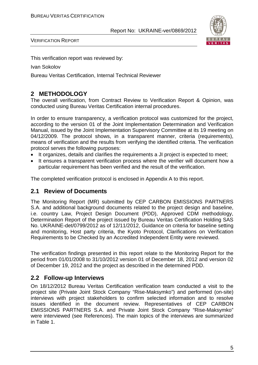

VERIFICATION REPORT

This verification report was reviewed by:

Ivan Sokolov

Bureau Veritas Certification, Internal Technical Reviewer

# **2 METHODOLOGY**

The overall verification, from Contract Review to Verification Report & Opinion, was conducted using Bureau Veritas Certification internal procedures.

In order to ensure transparency, a verification protocol was customized for the project, according to the version 01 of the Joint Implementation Determination and Verification Manual, issued by the Joint Implementation Supervisory Committee at its 19 meeting on 04/12/2009. The protocol shows, in a transparent manner, criteria (requirements), means of verification and the results from verifying the identified criteria. The verification protocol serves the following purposes:

- It organizes, details and clarifies the requirements a JI project is expected to meet;
- It ensures a transparent verification process where the verifier will document how a particular requirement has been verified and the result of the verification.

The completed verification protocol is enclosed in Appendix A to this report.

## **2.1 Review of Documents**

The Monitoring Report (MR) submitted by CEP CARBON EMISSIONS PARTNERS S.A. and additional background documents related to the project design and baseline, i.e. country Law, Project Design Document (PDD), Approved CDM methodology, Determination Report of the project issued by Bureau Veritas Certification Holding SAS No. UKRAINE-det/0799/2012 as of 12/11/2012, Guidance on criteria for baseline setting and monitoring, Host party criteria, the Kyoto Protocol, Clarifications on Verification Requirements to be Checked by an Accredited Independent Entity were reviewed.

The verification findings presented in this report relate to the Monitoring Report for the period from 01/01/2008 to 31/10/2012 version 01 of December 18, 2012 and version 02 of December 19, 2012 and the project as described in the determined PDD.

## **2.2 Follow-up Interviews**

On 18/12/2012 Bureau Veritas Certification verification team conducted a visit to the project site (Private Joint Stock Company "Rise-Maksymko") and performed (on-site) interviews with project stakeholders to confirm selected information and to resolve issues identified in the document review. Representatives of CEP CARBON EMISSIONS PARTNERS S.A. and Private Joint Stock Company "Rise-Maksymko" were interviewed (see References). The main topics of the interviews are summarized in Table 1.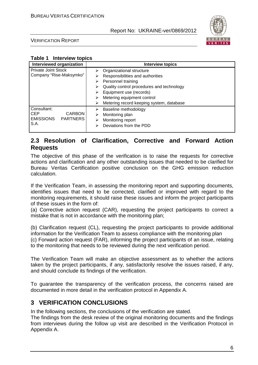

VERIFICATION REPORT

| <b>Interview topics</b><br>Table 1 |  |
|------------------------------------|--|
|------------------------------------|--|

| Interviewed organization                                                                  |                            | <b>Interview topics</b>                                                                                                                                                                                                              |
|-------------------------------------------------------------------------------------------|----------------------------|--------------------------------------------------------------------------------------------------------------------------------------------------------------------------------------------------------------------------------------|
| <b>Private Joint Stock</b><br>Company "Rise-Maksymko"                                     | ⋗<br>⋗<br>⋗<br>⋗<br>⋗<br>⋗ | Organizational structure<br>Responsibilities and authorities<br>Personnel training<br>Quality control procedures and technology<br>Equipment use (records)<br>Metering equipment control<br>Metering record keeping system, database |
| Consultant:<br><b>CARBON</b><br><b>CEP</b><br><b>EMISSIONS</b><br><b>PARTNERS</b><br>S.A. | ⋗<br>⋗<br>⋗<br>⋗           | Baseline methodology<br>Monitoring plan<br>Monitoring report<br>Deviations from the PDD                                                                                                                                              |

# **2.3 Resolution of Clarification, Corrective and Forward Action Requests**

The objective of this phase of the verification is to raise the requests for corrective actions and clarification and any other outstanding issues that needed to be clarified for Bureau Veritas Certification positive conclusion on the GHG emission reduction calculation.

If the Verification Team, in assessing the monitoring report and supporting documents, identifies issues that need to be corrected, clarified or improved with regard to the monitoring requirements, it should raise these issues and inform the project participants of these issues in the form of:

(a) Corrective action request (CAR), requesting the project participants to correct a mistake that is not in accordance with the monitoring plan;

(b) Clarification request (CL), requesting the project participants to provide additional information for the Verification Team to assess compliance with the monitoring plan (c) Forward action request (FAR), informing the project participants of an issue, relating to the monitoring that needs to be reviewed during the next verification period.

The Verification Team will make an objective assessment as to whether the actions taken by the project participants, if any, satisfactorily resolve the issues raised, if any, and should conclude its findings of the verification.

To guarantee the transparency of the verification process, the concerns raised are documented in more detail in the verification protocol in Appendix A.

# **3 VERIFICATION CONCLUSIONS**

In the following sections, the conclusions of the verification are stated.

The findings from the desk review of the original monitoring documents and the findings from interviews during the follow up visit are described in the Verification Protocol in Appendix A.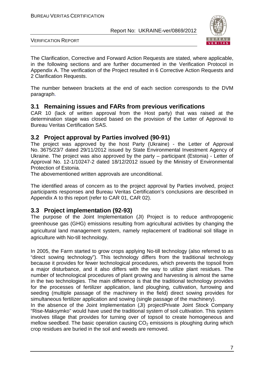

VERIFICATION REPORT

The Clarification, Corrective and Forward Action Requests are stated, where applicable, in the following sections and are further documented in the Verification Protocol in Appendix A. The verification of the Project resulted in 6 Corrective Action Requests and 2 Clarification Requests.

The number between brackets at the end of each section corresponds to the DVM paragraph.

## **3.1 Remaining issues and FARs from previous verifications**

CAR 10 (lack of written approval from the Host party) that was raised at the determination stage was closed based on the provision of the Letter of Approval to Bureau Veritas Certification SAS.

## **3.2 Project approval by Parties involved (90-91)**

The project was approved by the host Party (Ukraine) - the Letter of Approval No. 3675/23/7 dated 29/11/2012 issued by State Environmental Investment Agency of Ukraine. The project was also approved by the party – participant (Estonia) - Letter of Approval No. 12-1/10247-2 dated 18/12/2012 issued by the Ministry of Environmental Protection of Estonia.

The abovementioned written approvals are unconditional.

The identified areas of concern as to the project approval by Parties involved, project participants responses and Bureau Veritas Certification's conclusions are described in Appendix A to this report (refer to CAR 01, CAR 02).

## **3.3 Project implementation (92-93)**

The purpose of the Joint Implementation (JI) Project is to reduce anthropogenic greenhouse gas (GHG) emissions resulting from agricultural activities by changing the agricultural land management system, namely replacement of traditional soil tillage in agriculture with No-till technology.

In 2005, the Farm started to grow crops applying No-till technology (also referred to as "direct sowing technology"). This technology differs from the traditional technology because it provides for fewer technological procedures, which prevents the topsoil from a major disturbance, and it also differs with the way to utilize plant residues. The number of technological procedures of plant growing and harvesting is almost the same in the two technologies. The main difference is that the traditional technology provides for the processes of fertilizer application, land ploughing, cultivation, furrowing and seeding (multiple passage of the machinery in the field) direct sowing provides for simultaneous fertilizer application and sowing (single passage of the machinery).

In the absence of the Joint Implementation (JI) projectPrivate Joint Stock Company "Rise-Maksymko" would have used the traditional system of soil cultivation. This system involves tillage that provides for turning over of topsoil to create homogeneous and mellow seedbed. The basic operation causing  $CO<sub>2</sub>$  emissions is ploughing during which crop residues are buried in the soil and weeds are removed.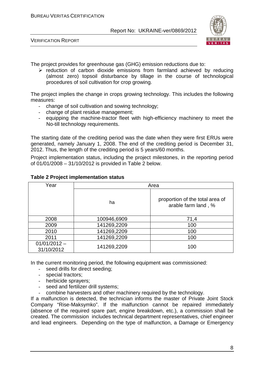

VERIFICATION REPORT

The project provides for greenhouse gas (GHG) emission reductions due to:

 $\triangleright$  reduction of carbon dioxide emissions from farmland achieved by reducing (almost zero) topsoil disturbance by tillage in the course of technological procedures of soil cultivation for crop growing.

The project implies the change in crops growing technology. This includes the following measures:

- change of soil cultivation and sowing technology;
- change of plant residue management;
- equipping the machine-tractor fleet with high-efficiency machinery to meet the No-till technology requirements.

The starting date of the crediting period was the date when they were first ERUs were generated, namely January 1, 2008. The end of the crediting period is December 31, 2012. Thus, the length of the crediting period is 5 years/60 months.

Project implementation status, including the project milestones, in the reporting period of 01/01/2008 – 31/10/2012 is provided in Table 2 below.

| Year                         |             | Area                                                   |  |  |
|------------------------------|-------------|--------------------------------------------------------|--|--|
|                              | ha          | proportion of the total area of<br>arable farm land, % |  |  |
| 2008                         | 100946,6909 | 71,4                                                   |  |  |
| 2009                         | 141269,2209 | 100                                                    |  |  |
| 2010                         | 141269,2209 | 100                                                    |  |  |
| 141269,2209<br>2011          |             | 100                                                    |  |  |
| $01/01/2012 -$<br>31/10/2012 | 141269,2209 | 100                                                    |  |  |

#### **Table 2 Project implementation status**

In the current monitoring period, the following equipment was commissioned:

- seed drills for direct seeding;
- special tractors;
- herbicide sprayers;
- seed and fertilizer drill systems;
- combine harvesters and other machinery required by the technology.

If a malfunction is detected, the technician informs the master of Private Joint Stock Company "Rise-Maksymko". If the malfunction cannot be repaired immediately (absence of the required spare part, engine breakdown, etc.), a commission shall be created. The commission includes technical department representatives, chief engineer and lead engineers. Depending on the type of malfunction, a Damage or Emergency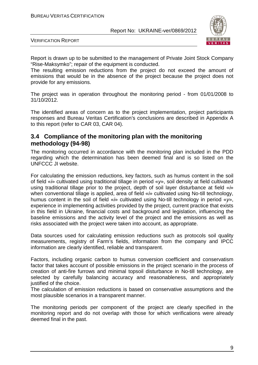

VERIFICATION REPORT

Report is drawn up to be submitted to the management of Private Joint Stock Company "Rise-Maksymko"; repair of the equipment is conducted.

The resulting emission reductions from the project do not exceed the amount of emissions that would be in the absence of the project because the project does not provide for any emissions.

The project was in operation throughout the monitoring period - from 01/01/2008 to 31/10/2012.

The identified areas of concern as to the project implementation, project participants responses and Bureau Veritas Certification's conclusions are described in Appendix A to this report (refer to CAR 03, CAR 04).

## **3.4 Compliance of the monitoring plan with the monitoring methodology (94-98)**

The monitoring occurred in accordance with the monitoring plan included in the PDD regarding which the determination has been deemed final and is so listed on the UNFCCC JI website.

For calculating the emission reductions, key factors, such as humus content in the soil of field «*і*» cultivated using traditional tillage in period «*у*», soil density at field cultivated using traditional tillage prior to the project, depth of soil layer disturbance at field «*і*» when conventional tillage is applied, area of field «*і*» cultivated using No-till technology, humus content in the soil of field «*і*» cultivated using No-till technology in period «*у*», experience in implementing activities provided by the project, current practice that exists in this field in Ukraine, financial costs and background and legislation, influencing the baseline emissions and the activity level of the project and the emissions as well as risks associated with the project were taken into account, as appropriate.

Data sources used for calculating emission reductions such as protocols soil quality measurements, registry of Farm's fields, information from the company and IPCC information are clearly identified, reliable and transparent.

Factors, including organic carbon to humus conversion coefficient and conservatism factor that takes account of possible emissions in the project scenario in the process of creation of anti-fire furrows and minimal topsoil disturbance in No-till technology, are selected by carefully balancing accuracy and reasonableness, and appropriately justified of the choice.

The calculation of emission reductions is based on conservative assumptions and the most plausible scenarios in a transparent manner.

The monitoring periods per component of the project are clearly specified in the monitoring report and do not overlap with those for which verifications were already deemed final in the past.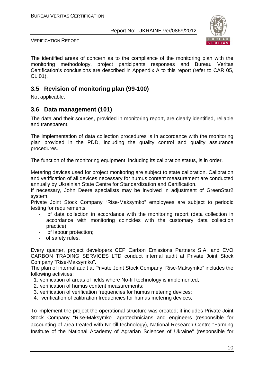

VERIFICATION REPORT

The identified areas of concern as to the compliance of the monitoring plan with the monitoring methodology, project participants responses and Bureau Veritas Certification's conclusions are described in Appendix A to this report (refer to CAR 05, CL 01).

## **3.5 Revision of monitoring plan (99-100)**

Not applicable.

## **3.6 Data management (101)**

The data and their sources, provided in monitoring report, are clearly identified, reliable and transparent.

The implementation of data collection procedures is in accordance with the monitoring plan provided in the PDD, including the quality control and quality assurance procedures.

The function of the monitoring equipment, including its calibration status, is in order.

Metering devices used for project monitoring are subject to state calibration. Calibration and verification of all devices necessary for humus content measurement are conducted annually by Ukrainian State Centre for Standardization and Certification.

If necessary, John Deere specialists may be involved in adjustment of GreenStar2 system.

Private Joint Stock Company "Rise-Maksymko" employees are subject to periodic testing for requirements:

- of data collection in accordance with the monitoring report (data collection in accordance with monitoring coincides with the customary data collection practice);
- of labour protection;
- of safety rules.

Every quarter, project developers CEP Carbon Emissions Partners S.A. and EVO CARBON TRADING SERVICES LTD conduct internal audit at Private Joint Stock Company "Rise-Maksymko".

The plan of internal audit at Private Joint Stock Company "Rise-Maksymko" includes the following activities:

- 1. verification of areas of fields where No-till technology is implemented;
- 2. verification of humus content measurements;
- 3. verification of verification frequencies for humus metering devices;
- 4. verification of calibration frequencies for humus metering devices;

To implement the project the operational structure was created; it includes Private Joint Stock Company "Rise-Maksymko" agrotechnicians and engineers (responsible for accounting of area treated with No-till technology), National Research Centre "Farming Institute of the National Academy of Agrarian Sciences of Ukraine" (responsible for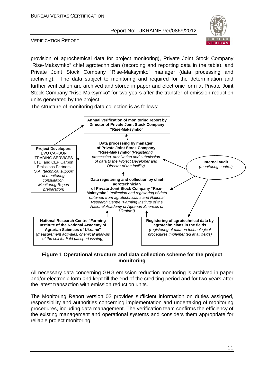

VERIFICATION REPORT

provision of agrochemical data for project monitoring), Private Joint Stock Company "Rise-Maksymko" chief agrotechnician (recording and reporting data in the table), and Private Joint Stock Company "Rise-Maksymko" manager (data processing and archiving). The data subject to monitoring and required for the determination and further verification are archived and stored in paper and electronic form at Private Joint Stock Company "Rise-Maksymko" for two years after the transfer of emission reduction units generated by the project.

The structure of monitoring data collection is as follows:



### **Figure 1 Operational structure and data collection scheme for the project monitoring**

All necessary data concerning GHG emission reduction monitoring is archived in paper and/or electronic form and kept till the end of the crediting period and for two years after the latest transaction with emission reduction units.

The Monitoring Report version 02 provides sufficient information on duties assigned, responsibility and authorities concerning implementation and undertaking of monitoring procedures, including data management. The verification team confirms the efficiency of the existing management and operational systems and considers them appropriate for reliable project monitoring.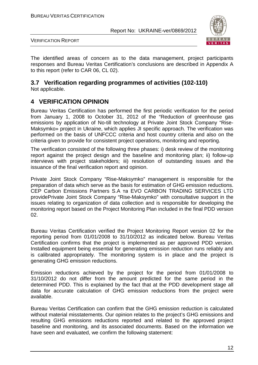

VERIFICATION REPORT

The identified areas of concern as to the data management, project participants responses and Bureau Veritas Certification's conclusions are described in Appendix A to this report (refer to CAR 06, CL 02).

#### **3.7 Verification regarding programmes of activities (102-110)**  Not applicable.

# **4 VERIFICATION OPINION**

Bureau Veritas Certification has performed the first periodic verification for the period from January 1, 2008 to October 31, 2012 of the "Reduction of greenhouse gas emissions by application of No-till technology at Private Joint Stock Company "Rise-Maksymko» project in Ukraine, which applies JI specific approach. The verification was performed on the basis of UNFCCC criteria and host country criteria and also on the criteria given to provide for consistent project operations, monitoring and reporting.

The verification consisted of the following three phases: i) desk review of the monitoring report against the project design and the baseline and monitoring plan; ii) follow-up interviews with project stakeholders; iii) resolution of outstanding issues and the issuance of the final verification report and opinion.

Private Joint Stock Company "Rise-Maksymko" management is responsible for the preparation of data which serve as the basis for estimation of GHG emission reductions. CEP Carbon Emissions Partners S.A та EVO CARBON TRADING SERVICES LTD providePrivate Joint Stock Company "Rise-Maksymko" with consultative support in the issues relating to organization of data collection and is responsible for developing the monitoring report based on the Project Monitoring Plan included in the final PDD version 02.

Bureau Veritas Certification verified the Project Monitoring Report version 02 for the reporting period from 01/01/2008 to 31/10/2012 as indicated below. Bureau Veritas Certification confirms that the project is implemented as per approved PDD version. Installed equipment being essential for generating emission reduction runs reliably and is calibrated appropriately. The monitoring system is in place and the project is generating GHG emission reductions.

Emission reductions achieved by the project for the period from 01/01/2008 to 31/10/2012 do not differ from the amount predicted for the same period in the determined PDD. This is explained by the fact that at the PDD development stage all data for accurate calculation of GHG emission reductions from the project were available.

Bureau Veritas Certification can confirm that the GHG emission reduction is calculated without material misstatements. Our opinion relates to the project's GHG emissions and resulting GHG emissions reductions reported and related to the approved project baseline and monitoring, and its associated documents. Based on the information we have seen and evaluated, we confirm the following statement: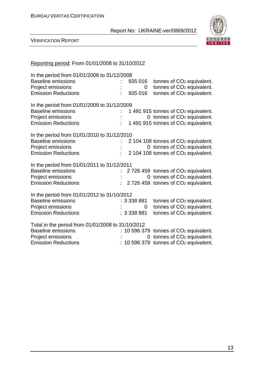

| Reporting period: From 01/01/2008 to 31/10/2012                                                                                    |                        |                                                                                                                                               |
|------------------------------------------------------------------------------------------------------------------------------------|------------------------|-----------------------------------------------------------------------------------------------------------------------------------------------|
| In the period from 01/01/2008 to 31/12/2008<br><b>Baseline emissions</b><br>Project emissions<br><b>Emission Reductions</b>        | 935 016<br>935 016     | tonnes of CO <sub>2</sub> equivalent.<br>tonnes of CO <sub>2</sub> equivalent.<br>$0-1$<br>tonnes of CO <sub>2</sub> equivalent.              |
| In the period from 01/01/2009 to 31/12/2009<br><b>Baseline emissions</b><br>Project emissions<br><b>Emission Reductions</b>        |                        | 1 491 915 tonnes of CO <sub>2</sub> equivalent.<br>0 tonnes of CO <sub>2</sub> equivalent.<br>1491915 tonnes of CO <sub>2</sub> equivalent.   |
| In the period from 01/01/2010 to 31/12/2010<br><b>Baseline emissions</b><br>Project emissions<br><b>Emission Reductions</b>        |                        | 2 104 108 tonnes of CO <sub>2</sub> equivalent.<br>0 tonnes of CO <sub>2</sub> equivalent.<br>2 104 108 tonnes of CO <sub>2</sub> equivalent. |
| In the period from 01/01/2011 to 31/12/2011<br><b>Baseline emissions</b><br><b>Project emissions</b><br><b>Emission Reductions</b> |                        | 2726 459 tonnes of CO <sub>2</sub> equivalent.<br>0 tonnes of CO <sub>2</sub> equivalent.<br>2726 459 tonnes of CO <sub>2</sub> equivalent.   |
| In the period from 01/01/2012 to 31/10/2012<br><b>Baseline emissions</b><br>Project emissions<br><b>Emission Reductions</b>        | : 3338881<br>: 3338881 | tonnes of CO <sub>2</sub> equivalent.<br>tonnes of CO <sub>2</sub> equivalent.<br>$\overline{0}$<br>tonnes of CO <sub>2</sub> equivalent.     |
| Total in the period from 01/01/2008 to 31/10/2012<br><b>Baseline emissions</b><br>Project emissions<br><b>Emission Reductions</b>  |                        | $: 10596379$ tonnes of $CO2$ equivalent.<br>0 tonnes of CO <sub>2</sub> equivalent.<br>10 596 379 tonnes of CO <sub>2</sub> equivalent.       |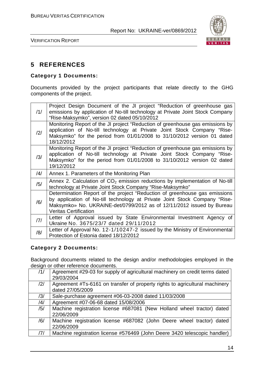

VERIFICATION REPORT

# **5 REFERENCES**

## **Category 1 Documents:**

Documents provided by the project participants that relate directly to the GHG components of the project.

| /1/ | Project Design Document of the JI project "Reduction of greenhouse gas<br>emissions by application of No-till technology at Private Joint Stock Company<br>"Rise-Maksymko", version 02 dated 05/10/2012                                                           |
|-----|-------------------------------------------------------------------------------------------------------------------------------------------------------------------------------------------------------------------------------------------------------------------|
| /2/ | Monitoring Report of the JI project "Reduction of greenhouse gas emissions by<br>application of No-till technology at Private Joint Stock Company "Rise-<br>Maksymko" for the period from 01/01/2008 to 31/10/2012 version 01 dated<br>18/12/2012                 |
| /3/ | Monitoring Report of the JI project "Reduction of greenhouse gas emissions by<br>application of No-till technology at Private Joint Stock Company "Rise-<br>Maksymko" for the period from 01/01/2008 to 31/10/2012 version 02 dated<br>19/12/2012                 |
| /4/ | Annex 1. Parameters of the Monitoring Plan                                                                                                                                                                                                                        |
| /5/ | Annex 2. Calculation of $CO2$ emission reductions by implementation of No-till<br>technology at Private Joint Stock Company "Rise-Maksymko"                                                                                                                       |
| /6/ | Determination Report of the project "Reduction of greenhouse gas emissions<br>by application of No-till technology at Private Joint Stock Company "Rise-<br>Maksymko» No. UKRAINE-det/0799/2012 as of 12/11/2012 issued by Bureau<br><b>Veritas Certification</b> |
| 7   | Letter of Approval issued by State Environmental Investment Agency of<br>Ukraine No. 3675/23/7 dated 29/11/2012                                                                                                                                                   |
| /8/ | Letter of Approval No. 12-1/10247-2 issued by the Ministry of Environmental<br>Protection of Estonia dated 18/12/2012                                                                                                                                             |

## **Category 2 Documents:**

Background documents related to the design and/or methodologies employed in the design or other reference documents.

| /1/            | Agreement #29-03 for supply of agricultural machinery on credit terms dated |  |  |  |
|----------------|-----------------------------------------------------------------------------|--|--|--|
|                | 29/03/2004                                                                  |  |  |  |
| /2/            | Agreement #Ts-6161 on transfer of property rights to agricultural machinery |  |  |  |
|                | dated 27/05/2009                                                            |  |  |  |
| /3/            | Sale-purchase agreement #06-03-2008 dated 11/03/2008                        |  |  |  |
| $\frac{14}{3}$ | Agreement #07-06-68 dated 15/08/2006                                        |  |  |  |
| /5/            | Machine registration license #687081 (New Holland wheel tractor) dated      |  |  |  |
|                | 22/06/2009                                                                  |  |  |  |
| /6/            | Machine registration license #687082 (John Deere wheel tractor) dated       |  |  |  |
|                | 22/06/2009                                                                  |  |  |  |
| /7/            | Machine registration license #576469 (John Deere 3420 telescopic handler)   |  |  |  |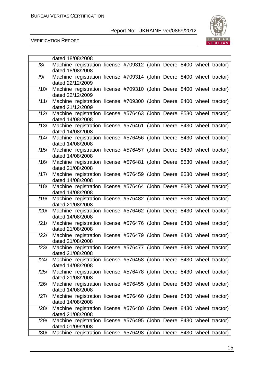

|      | dated 18/08/2008                                                                         |  |  |  |  |
|------|------------------------------------------------------------------------------------------|--|--|--|--|
| /8/  | Machine registration license #709312 (John Deere 8400 wheel tractor)                     |  |  |  |  |
|      | dated 18/08/2008                                                                         |  |  |  |  |
| /9/  | Machine registration license #709314 (John Deere 8400 wheel tractor)                     |  |  |  |  |
|      | dated 22/12/2009                                                                         |  |  |  |  |
| /10/ | Machine registration license #709310 (John Deere 8400 wheel tractor)                     |  |  |  |  |
|      | dated 22/12/2009                                                                         |  |  |  |  |
| /11/ | Machine registration license #709300 (John Deere 8400 wheel tractor)                     |  |  |  |  |
|      | dated 21/12/2009                                                                         |  |  |  |  |
| /12/ | Machine registration license #576463 (John Deere 8530 wheel tractor)                     |  |  |  |  |
|      | dated 14/08/2008                                                                         |  |  |  |  |
| /13/ | Machine registration license #576461 (John Deere 8430 wheel tractor)                     |  |  |  |  |
|      | dated 14/08/2008                                                                         |  |  |  |  |
| /14/ | Machine registration license #576456 (John Deere 8430 wheel tractor)                     |  |  |  |  |
|      | dated 14/08/2008                                                                         |  |  |  |  |
| /15/ | Machine registration license #576457 (John Deere 8430 wheel tractor)                     |  |  |  |  |
|      | dated 14/08/2008                                                                         |  |  |  |  |
| /16/ | Machine registration license #576481 (John Deere 8530 wheel tractor)                     |  |  |  |  |
|      | dated 21/08/2008                                                                         |  |  |  |  |
| /17/ | Machine registration license #576459 (John Deere 8530 wheel tractor)                     |  |  |  |  |
|      | dated 14/08/2008                                                                         |  |  |  |  |
| /18/ | Machine registration license #576464 (John Deere 8530 wheel tractor)                     |  |  |  |  |
|      | dated 14/08/2008                                                                         |  |  |  |  |
| /19/ | Machine registration license #576482 (John Deere 8530 wheel tractor)                     |  |  |  |  |
|      | dated 21/08/2008                                                                         |  |  |  |  |
| /20/ | Machine registration license #576462 (John Deere 8430 wheel tractor)                     |  |  |  |  |
|      | dated 14/08/2008                                                                         |  |  |  |  |
| /21/ | Machine registration license #576476 (John Deere 8430 wheel tractor)                     |  |  |  |  |
|      | dated 21/08/2008                                                                         |  |  |  |  |
| /22/ | Machine registration license #576479 (John Deere 8430 wheel tractor)                     |  |  |  |  |
|      | dated 21/08/2008                                                                         |  |  |  |  |
| /23/ | Machine registration license #576477 (John Deere 8430 wheel tractor)                     |  |  |  |  |
|      | dated 21/08/2008                                                                         |  |  |  |  |
| /24/ | Machine registration license #576458 (John Deere 8430 wheel tractor)                     |  |  |  |  |
|      | dated 14/08/2008                                                                         |  |  |  |  |
| /25/ | Machine registration license #576478 (John Deere 8430 wheel tractor)<br>dated 21/08/2008 |  |  |  |  |
|      |                                                                                          |  |  |  |  |
| /26/ | Machine registration license #576455 (John Deere 8430 wheel tractor)                     |  |  |  |  |
| /27/ | dated 14/08/2008                                                                         |  |  |  |  |
|      | Machine registration license #576460 (John Deere 8430 wheel tractor)<br>dated 14/08/2008 |  |  |  |  |
| /28/ | Machine registration license #576480 (John Deere 8430 wheel tractor)                     |  |  |  |  |
|      | dated 21/08/2008                                                                         |  |  |  |  |
| /29/ | Machine registration license #576495 (John Deere 8430 wheel tractor)                     |  |  |  |  |
|      | dated 01/09/2008                                                                         |  |  |  |  |
| /30/ | Machine registration license #576498 (John Deere 8430 wheel tractor)                     |  |  |  |  |
|      |                                                                                          |  |  |  |  |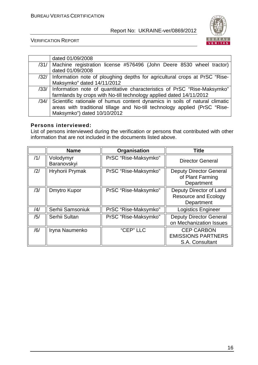

VERIFICATION REPORT

| dated 01/09/2008                                                                 |
|----------------------------------------------------------------------------------|
| /31/   Machine registration license #576496 (John Deere 8530 wheel tractor)      |
| dated 01/09/2008                                                                 |
| /32/ Information note of ploughing depths for agricultural crops at PrSC "Rise-  |
| Maksymko" dated 14/11/2012                                                       |
| /33/ Information note of quantitative characteristics of PrSC "Rise-Maksymko"    |
| farmlands by crops with No-till technology applied dated 14/11/2012              |
| /34/ Scientific rationale of humus content dynamics in soils of natural climatic |
| areas with traditional tillage and No-till technology applied (PrSC "Rise-       |
| Maksymko") dated 10/10/2012                                                      |

### **Persons interviewed:**

List of persons interviewed during the verification or persons that contributed with other information that are not included in the documents listed above.

|     | <b>Name</b>              | Organisation         | <b>Title</b>                                                         |
|-----|--------------------------|----------------------|----------------------------------------------------------------------|
| /1/ | Volodymyr<br>Baranovskyi | PrSC "Rise-Maksymko" | <b>Director General</b>                                              |
| /2/ | Hryhorii Prymak          | PrSC "Rise-Maksymko" | <b>Deputy Director General</b><br>of Plant Farming<br>Department     |
| /3/ | Dmytro Kupor             | PrSC "Rise-Maksymko" | Deputy Director of Land<br><b>Resource and Ecology</b><br>Department |
| /4/ | Serhii Samsoniuk         | PrSC "Rise-Maksymko" | <b>Logistics Engineer</b>                                            |
| /5/ | Serhii Sultan            | PrSC "Rise-Maksymko" | <b>Deputy Director General</b><br>on Mechanization Issues            |
| /6/ | Iryna Naumenko           | "CEP" LLC            | <b>CEP CARBON</b><br><b>EMISSIONS PARTNERS</b><br>S.A. Consultant    |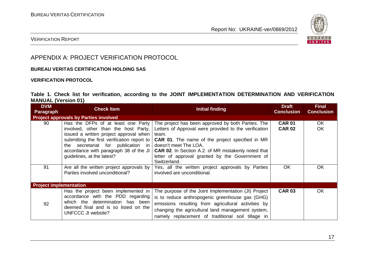

## VERIFICATION REPORT

# APPENDIX A: PROJECT VERIFICATION PROTOCOL

#### **BUREAU VERITAS CERTIFICATION HOLDING SAS**

#### **VERIFICATION PROTOCOL**

### **Table 1. Check list for verification, according to the JOINT IMPLEMENTATION DETERMINATION AND VERIFICATION MANUAL (Version 01)**

| <b>DVM</b><br>Paragraph       | <b>Check Item</b>                                                                                                                                                                                                                                                                    | Initial finding                                                                                                                                                                                                                                                                                                                          | <b>Draft</b><br><b>Conclusion</b> | <b>Final</b><br><b>Conclusion</b> |
|-------------------------------|--------------------------------------------------------------------------------------------------------------------------------------------------------------------------------------------------------------------------------------------------------------------------------------|------------------------------------------------------------------------------------------------------------------------------------------------------------------------------------------------------------------------------------------------------------------------------------------------------------------------------------------|-----------------------------------|-----------------------------------|
|                               | <b>Project approvals by Parties involved</b>                                                                                                                                                                                                                                         |                                                                                                                                                                                                                                                                                                                                          |                                   |                                   |
| 90                            | Has the DFPs of at least one Party<br>involved, other than the host Party,<br>issued a written project approval when<br>submitting the first verification report to<br>secretariat for publication in<br>the<br>accordance with paragraph 38 of the JI<br>guidelines, at the latest? | The project has been approved by both Parties. The<br>Letters of Approval were provided to the verification<br>team.<br><b>CAR 01.</b> The name of the project specified in MR<br>doesn't meet The LOA.<br><b>CAR 02.</b> In Section A.2. of MR mistakenly noted that<br>letter of approval granted by the Government of<br>Switzerland. | <b>CAR 01</b><br><b>CAR 02</b>    | OK.<br><b>OK</b>                  |
| 91                            | Are all the written project approvals by<br>Parties involved unconditional?                                                                                                                                                                                                          | Yes, all the written project approvals by Parties<br>involved are unconditional.                                                                                                                                                                                                                                                         | <b>OK</b>                         | <b>OK</b>                         |
| <b>Project implementation</b> |                                                                                                                                                                                                                                                                                      |                                                                                                                                                                                                                                                                                                                                          |                                   |                                   |
| 92                            | Has the project been implemented in<br>accordance with the PDD regarding<br>which the determination has been<br>deemed final and is so listed on the<br>UNFCCC JI website?                                                                                                           | The purpose of the Joint Implementation (JI) Project<br>is to reduce anthropogenic greenhouse gas (GHG)<br>emissions resulting from agricultural activities by<br>changing the agricultural land management system,<br>namely replacement of traditional soil tillage in                                                                 | <b>CAR 03</b>                     | <b>OK</b>                         |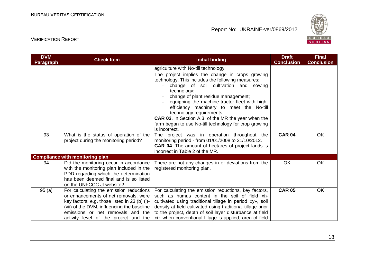

| <b>DVM</b><br><b>Paragraph</b> | <b>Check Item</b>                                                                                                                                                                                                                                             | <b>Initial finding</b>                                                                                                                                                                                                                                                                                                                                                                                                                                                                                        | <b>Draft</b><br><b>Conclusion</b> | <b>Final</b><br><b>Conclusion</b> |
|--------------------------------|---------------------------------------------------------------------------------------------------------------------------------------------------------------------------------------------------------------------------------------------------------------|---------------------------------------------------------------------------------------------------------------------------------------------------------------------------------------------------------------------------------------------------------------------------------------------------------------------------------------------------------------------------------------------------------------------------------------------------------------------------------------------------------------|-----------------------------------|-----------------------------------|
|                                |                                                                                                                                                                                                                                                               | agriculture with No-till technology.<br>The project implies the change in crops growing<br>technology. This includes the following measures:<br>change of soil cultivation and sowing<br>technology;<br>change of plant residue management;<br>equipping the machine-tractor fleet with high-<br>efficiency machinery to meet the No-till<br>technology requirements.<br><b>CAR 03.</b> In Section A.3. of the MR the year when the<br>farm began to use No-till technology for crop growing<br>is incorrect. |                                   |                                   |
| 93                             | What is the status of operation of the<br>project during the monitoring period?                                                                                                                                                                               | The project was in operation throughout the<br>monitoring period - from 01/01/2008 to 31/10/2012.<br><b>CAR 04.</b> The amount of hectares of project lands is<br>incorrect in Table 2 of the MR.                                                                                                                                                                                                                                                                                                             | <b>CAR 04</b>                     | OK                                |
|                                | <b>Compliance with monitoring plan</b>                                                                                                                                                                                                                        |                                                                                                                                                                                                                                                                                                                                                                                                                                                                                                               |                                   |                                   |
| 94                             | Did the monitoring occur in accordance<br>with the monitoring plan included in the<br>PDD regarding which the determination<br>has been deemed final and is so listed<br>on the UNFCCC JI website?                                                            | There are not any changes in or deviations from the<br>registered monitoring plan.                                                                                                                                                                                                                                                                                                                                                                                                                            | OK                                | OK                                |
| 95(a)                          | For calculating the emission reductions<br>or enhancements of net removals, were<br>key factors, e.g. those listed in 23 (b) (i)-<br>(vii) of the DVM, influencing the baseline<br>emissions or net removals and the<br>activity level of the project and the | For calculating the emission reductions, key factors,<br>such as humus content in the soil of field «i»<br>cultivated using traditional tillage in period «y», soil<br>density at field cultivated using traditional tillage prior<br>to the project, depth of soil layer disturbance at field<br>«i» when conventional tillage is applied, area of field                                                                                                                                                     | <b>CAR 05</b>                     | OK                                |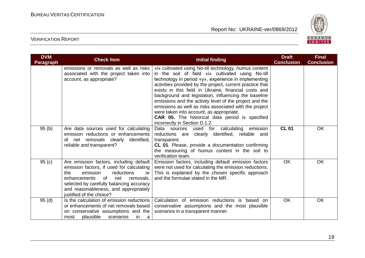

| <b>DVM</b><br><b>Paragraph</b> | <b>Check Item</b>                                                                                                                                                                                                                                                                      | <b>Initial finding</b>                                                                                                                                                                                                                                                                                                                                                                                                                                                                                                                                                                                       | <b>Draft</b><br><b>Conclusion</b> | <b>Final</b><br><b>Conclusion</b> |
|--------------------------------|----------------------------------------------------------------------------------------------------------------------------------------------------------------------------------------------------------------------------------------------------------------------------------------|--------------------------------------------------------------------------------------------------------------------------------------------------------------------------------------------------------------------------------------------------------------------------------------------------------------------------------------------------------------------------------------------------------------------------------------------------------------------------------------------------------------------------------------------------------------------------------------------------------------|-----------------------------------|-----------------------------------|
|                                | emissions or removals as well as risks<br>associated with the project taken into<br>account, as appropriate?                                                                                                                                                                           | «i» cultivated using No-till technology, humus content<br>in the soil of field «i» cultivated using No-till<br>technology in period «y», experience in implementing<br>activities provided by the project, current practice that<br>exists in this field in Ukraine, financial costs and<br>background and legislation, influencing the baseline<br>emissions and the activity level of the project and the<br>emissions as well as risks associated with the project<br>were taken into account, as appropriate.<br><b>CAR 05.</b> The historical data period is specified<br>incorrectly in Section D.1.2. |                                   |                                   |
| 95(b)                          | Are data sources used for calculating<br>emission reductions or enhancements<br>net removals clearly identified,<br>of<br>reliable and transparent?                                                                                                                                    | Data sources used for calculating<br>emission<br>clearly identified, reliable and<br>reductions are<br>transparent.<br>CL 01. Please, provide a documentation confirming<br>the measuring of humus content in the soil to<br>verification team.                                                                                                                                                                                                                                                                                                                                                              | <b>CL 01</b>                      | OK                                |
| 95(c)                          | Are emission factors, including default<br>emission factors, if used for calculating<br>emission<br>reductions<br>the<br>or<br>enhancements<br>of<br>net<br>removals,<br>selected by carefully balancing accuracy<br>and reasonableness, and appropriately<br>justified of the choice? | Emission factors, including default emission factors<br>were not used for calculating the emission reductions.<br>This is explained by the chosen specific approach<br>and the formulae stated in the MR.                                                                                                                                                                                                                                                                                                                                                                                                    | <b>OK</b>                         | OK                                |
| 95(d)                          | Is the calculation of emission reductions<br>or enhancements of net removals based<br>on conservative assumptions and the<br>plausible<br>scenarios<br>in.<br>most<br>a                                                                                                                | Calculation of emission reductions is based on<br>conservative assumptions and the most plausible<br>scenarios in a transparent manner.                                                                                                                                                                                                                                                                                                                                                                                                                                                                      | <b>OK</b>                         | OK                                |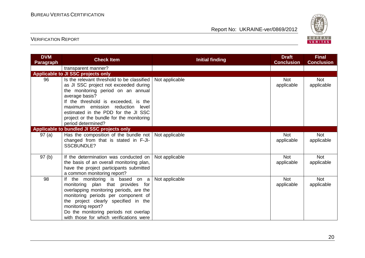

| <b>DVM</b><br><b>Paragraph</b> | <b>Check Item</b>                                                                                                                                                                                                                                                                                                                   | <b>Initial finding</b> | <b>Draft</b><br><b>Conclusion</b> | <b>Final</b><br><b>Conclusion</b> |
|--------------------------------|-------------------------------------------------------------------------------------------------------------------------------------------------------------------------------------------------------------------------------------------------------------------------------------------------------------------------------------|------------------------|-----------------------------------|-----------------------------------|
|                                | transparent manner?                                                                                                                                                                                                                                                                                                                 |                        |                                   |                                   |
|                                | Applicable to JI SSC projects only                                                                                                                                                                                                                                                                                                  |                        |                                   |                                   |
| 96                             | Is the relevant threshold to be classified<br>as JI SSC project not exceeded during<br>the monitoring period on an annual<br>average basis?<br>If the threshold is exceeded, is the<br>maximum emission reduction<br>level<br>estimated in the PDD for the JI SSC<br>project or the bundle for the monitoring<br>period determined? | Not applicable         | <b>Not</b><br>applicable          | <b>Not</b><br>applicable          |
|                                | Applicable to bundled JI SSC projects only                                                                                                                                                                                                                                                                                          |                        |                                   |                                   |
| 97 (a)                         | Has the composition of the bundle not   Not applicable<br>changed from that is stated in F-JI-<br><b>SSCBUNDLE?</b>                                                                                                                                                                                                                 |                        | <b>Not</b><br>applicable          | <b>Not</b><br>applicable          |
| 97(b)                          | If the determination was conducted on<br>the basis of an overall monitoring plan,<br>have the project participants submitted<br>a common monitoring report?                                                                                                                                                                         | Not applicable         | <b>Not</b><br>applicable          | <b>Not</b><br>applicable          |
| 98                             | If the monitoring is based on a<br>monitoring plan that provides for<br>overlapping monitoring periods, are the<br>monitoring periods per component of<br>the project clearly specified in the<br>monitoring report?<br>Do the monitoring periods not overlap<br>with those for which verifications were                            | Not applicable         | <b>Not</b><br>applicable          | <b>Not</b><br>applicable          |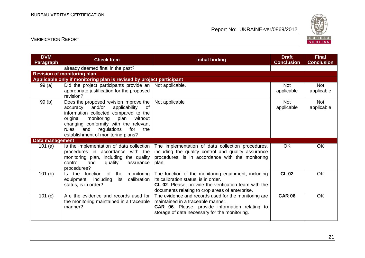

| <b>DVM</b><br><b>Paragraph</b> | <b>Check Item</b>                                                                                                                                                                                                                                                                                     | <b>Initial finding</b>                                                                                                                                                                                  | <b>Draft</b><br><b>Conclusion</b> | <b>Final</b><br><b>Conclusion</b> |
|--------------------------------|-------------------------------------------------------------------------------------------------------------------------------------------------------------------------------------------------------------------------------------------------------------------------------------------------------|---------------------------------------------------------------------------------------------------------------------------------------------------------------------------------------------------------|-----------------------------------|-----------------------------------|
|                                | already deemed final in the past?                                                                                                                                                                                                                                                                     |                                                                                                                                                                                                         |                                   |                                   |
|                                | <b>Revision of monitoring plan</b>                                                                                                                                                                                                                                                                    |                                                                                                                                                                                                         |                                   |                                   |
|                                | Applicable only if monitoring plan is revised by project participant                                                                                                                                                                                                                                  |                                                                                                                                                                                                         |                                   |                                   |
| 99(a)                          | Did the project participants provide an<br>appropriate justification for the proposed<br>revision?                                                                                                                                                                                                    | Not applicable.                                                                                                                                                                                         | <b>Not</b><br>applicable          | <b>Not</b><br>applicable          |
| 99(b)                          | Does the proposed revision improve the<br>and/or<br>applicability<br>of<br>accuracy<br>information collected compared to the<br>without<br>original<br>monitoring<br>plan<br>changing conformity with the relevant<br>rules<br>regulations<br>for<br>and<br>the<br>establishment of monitoring plans? | Not applicable                                                                                                                                                                                          | <b>Not</b><br>applicable          | <b>Not</b><br>applicable          |
| Data management                |                                                                                                                                                                                                                                                                                                       |                                                                                                                                                                                                         |                                   |                                   |
| 101 $(a)$                      | Is the implementation of data collection<br>procedures in accordance with the<br>monitoring plan, including the quality<br>control<br>quality<br>and<br>assurance<br>procedures?                                                                                                                      | The implementation of data collection procedures,<br>including the quality control and quality assurance<br>procedures, is in accordance with the monitoring<br>plan.                                   | <b>OK</b>                         | <b>OK</b>                         |
| 101(b)                         | Is the function<br>of<br>the<br>monitoring<br>equipment, including<br>its<br>calibration<br>status, is in order?                                                                                                                                                                                      | The function of the monitoring equipment, including<br>its calibration status, is in order.<br>CL 02. Please, provide the verification team with the<br>documents relating to crop areas of enterprise. | <b>CL 02</b>                      | <b>OK</b>                         |
| 101 (c)                        | Are the evidence and records used for<br>the monitoring maintained in a traceable<br>manner?                                                                                                                                                                                                          | The evidence and records used for the monitoring are<br>maintained in a traceable manner.<br>CAR 06. Please, provide information relating to<br>storage of data necessary for the monitoring.           | <b>CAR 06</b>                     | <b>OK</b>                         |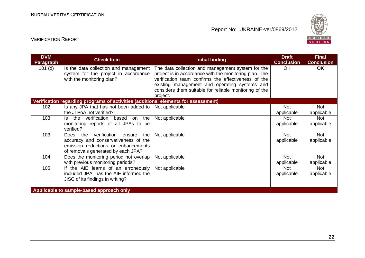

| <b>DVM</b><br><b>Paragraph</b> | <b>Check Item</b>                                                                                                                                           | <b>Initial finding</b>                                                                                                                                                                                                                                                                    | <b>Draft</b><br><b>Conclusion</b> | <b>Final</b><br><b>Conclusion</b> |
|--------------------------------|-------------------------------------------------------------------------------------------------------------------------------------------------------------|-------------------------------------------------------------------------------------------------------------------------------------------------------------------------------------------------------------------------------------------------------------------------------------------|-----------------------------------|-----------------------------------|
| $101$ (d)                      | Is the data collection and management<br>system for the project in accordance<br>with the monitoring plan?                                                  | The data collection and management system for the<br>project is in accordance with the monitoring plan. The<br>verification team confirms the effectiveness of the<br>existing management and operating systems and<br>considers them suitable for reliable monitoring of the<br>project. | OK.                               | <b>OK</b>                         |
|                                | Verification regarding programs of activities (additional elements for assessment)                                                                          |                                                                                                                                                                                                                                                                                           |                                   |                                   |
| 102                            | Is any JPA that has not been added to $\vert$ Not applicable<br>the JI PoA not verified?                                                                    |                                                                                                                                                                                                                                                                                           | <b>Not</b><br>applicable          | <b>Not</b><br>applicable          |
| 103                            | the verification based<br>the<br>ls.<br>on<br>monitoring reports of all JPAs to be<br>verified?                                                             | Not applicable                                                                                                                                                                                                                                                                            | <b>Not</b><br>applicable          | <b>Not</b><br>applicable          |
| 103                            | verification ensure<br>Does the<br>the<br>accuracy and conservativeness of the<br>emission reductions or enhancements<br>of removals generated by each JPA? | Not applicable                                                                                                                                                                                                                                                                            | <b>Not</b><br>applicable          | <b>Not</b><br>applicable          |
| 104                            | Does the monitoring period not overlap<br>with previous monitoring periods?                                                                                 | Not applicable                                                                                                                                                                                                                                                                            | <b>Not</b><br>applicable          | <b>Not</b><br>applicable          |
| 105                            | If the AIE learns of an erroneously<br>included JPA, has the AIE informed the<br>JISC of its findings in writing?                                           | Not applicable                                                                                                                                                                                                                                                                            | <b>Not</b><br>applicable          | <b>Not</b><br>applicable          |
|                                | Applicable to sample-based approach only                                                                                                                    |                                                                                                                                                                                                                                                                                           |                                   |                                   |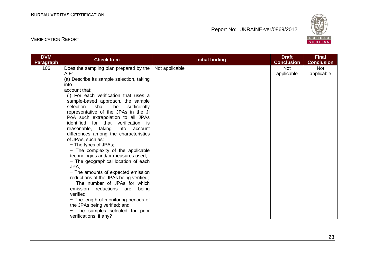

| <b>DVM</b>       | <b>Check Item</b>                                                        | <b>Initial finding</b> | <b>Draft</b>      | <b>Final</b>      |
|------------------|--------------------------------------------------------------------------|------------------------|-------------------|-------------------|
| <b>Paragraph</b> |                                                                          |                        | <b>Conclusion</b> | <b>Conclusion</b> |
| 106              | Does the sampling plan prepared by the                                   | Not applicable         | <b>Not</b>        | <b>Not</b>        |
|                  | AIE:                                                                     |                        | applicable        | applicable        |
|                  | (a) Describe its sample selection, taking                                |                        |                   |                   |
|                  | into                                                                     |                        |                   |                   |
|                  | account that:                                                            |                        |                   |                   |
|                  | (i) For each verification that uses a                                    |                        |                   |                   |
|                  | sample-based approach, the sample                                        |                        |                   |                   |
|                  | selection<br>shall<br>be<br>sufficiently                                 |                        |                   |                   |
|                  | representative of the JPAs in the JI                                     |                        |                   |                   |
|                  | PoA such extrapolation to all JPAs                                       |                        |                   |                   |
|                  | identified for that verification is                                      |                        |                   |                   |
|                  | reasonable, taking into account                                          |                        |                   |                   |
|                  | differences among the characteristics                                    |                        |                   |                   |
|                  | of JPAs, such as:                                                        |                        |                   |                   |
|                  | - The types of JPAs;                                                     |                        |                   |                   |
|                  | - The complexity of the applicable<br>technologies and/or measures used; |                        |                   |                   |
|                  | - The geographical location of each                                      |                        |                   |                   |
|                  | JPA;                                                                     |                        |                   |                   |
|                  | - The amounts of expected emission                                       |                        |                   |                   |
|                  | reductions of the JPAs being verified;                                   |                        |                   |                   |
|                  | - The number of JPAs for which                                           |                        |                   |                   |
|                  | emission<br>reductions are<br>being                                      |                        |                   |                   |
|                  | verified;                                                                |                        |                   |                   |
|                  | - The length of monitoring periods of                                    |                        |                   |                   |
|                  | the JPAs being verified; and                                             |                        |                   |                   |
|                  | - The samples selected for prior                                         |                        |                   |                   |
|                  | verifications, if any?                                                   |                        |                   |                   |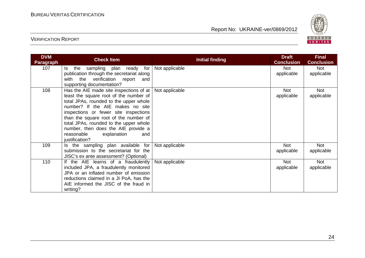

| <b>DVM</b><br><b>Paragraph</b> | <b>Check Item</b>                                                                                                                                                                                                                                                                                                                                                                                               | <b>Initial finding</b> | <b>Draft</b><br><b>Conclusion</b> | <b>Final</b><br><b>Conclusion</b> |
|--------------------------------|-----------------------------------------------------------------------------------------------------------------------------------------------------------------------------------------------------------------------------------------------------------------------------------------------------------------------------------------------------------------------------------------------------------------|------------------------|-----------------------------------|-----------------------------------|
| 107                            | ls l<br>the sampling plan ready for<br>publication through the secretariat along<br>with the verification report<br>and<br>supporting documentation?                                                                                                                                                                                                                                                            | Not applicable         | Not<br>applicable                 | Not<br>applicable                 |
| 108                            | Has the AIE made site inspections of at $\vert$ Not applicable<br>least the square root of the number of<br>total JPAs, rounded to the upper whole<br>number? If the AIE makes no site<br>inspections or fewer site inspections<br>than the square root of the number of<br>total JPAs, rounded to the upper whole<br>number, then does the AIE provide a<br>reasonable<br>explanation<br>and<br>justification? |                        | <b>Not</b><br>applicable          | <b>Not</b><br>applicable          |
| 109                            | Is the sampling plan available for<br>submission to the secretariat for the<br>JISC's ex ante assessment? (Optional)                                                                                                                                                                                                                                                                                            | Not applicable         | Not<br>applicable                 | <b>Not</b><br>applicable          |
| 110                            | If the AIE learns of a fraudulently<br>included JPA, a fraudulently monitored<br>JPA or an inflated number of emission<br>reductions claimed in a JI PoA, has the<br>AIE informed the JISC of the fraud in<br>writing?                                                                                                                                                                                          | Not applicable         | <b>Not</b><br>applicable          | <b>Not</b><br>applicable          |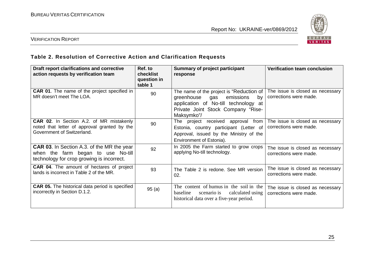

## VERIFICATION REPORT

# **Table 2. Resolution of Corrective Action and Clarification Requests**

| Draft report clarifications and corrective<br>action requests by verification team                                                   | Ref. to<br>checklist<br>question in<br>table 1 | Summary of project participant<br>response                                                                                                                                | <b>Verification team conclusion</b>                        |
|--------------------------------------------------------------------------------------------------------------------------------------|------------------------------------------------|---------------------------------------------------------------------------------------------------------------------------------------------------------------------------|------------------------------------------------------------|
| <b>CAR 01.</b> The name of the project specified in<br>MR doesn't meet The LOA.                                                      | 90                                             | The name of the project is "Reduction of<br>greenhouse gas<br>emissions<br>by<br>application of No-till technology at<br>Private Joint Stock Company "Rise-<br>Maksymko"/ | The issue is closed as necessary<br>corrections were made. |
| CAR 02. In Section A.2. of MR mistakenly<br>noted that letter of approval granted by the<br>Government of Switzerland.               | 90                                             | The project received approval<br>from<br>Estonia, country participant (Letter of<br>Approval, issued by the Ministry of the<br>Environment of Estonia).                   | The issue is closed as necessary<br>corrections were made. |
| <b>CAR 03.</b> In Section A.3. of the MR the year<br>when the farm began to use No-till<br>technology for crop growing is incorrect. | 92                                             | In 2005 the Farm started to grow crops<br>applying No-till technology.                                                                                                    | The issue is closed as necessary<br>corrections were made. |
| <b>CAR 04.</b> The amount of hectares of project<br>lands is incorrect in Table 2 of the MR.                                         | 93                                             | The Table 2 is redone. See MR version<br>02.                                                                                                                              | The issue is closed as necessary<br>corrections were made. |
| <b>CAR 05.</b> The historical data period is specified<br>incorrectly in Section D.1.2.                                              | 95(a)                                          | The content of humus in the soil in the<br>baseline<br>scenario is calculated using<br>historical data over a five-year period.                                           | The issue is closed as necessary<br>corrections were made. |